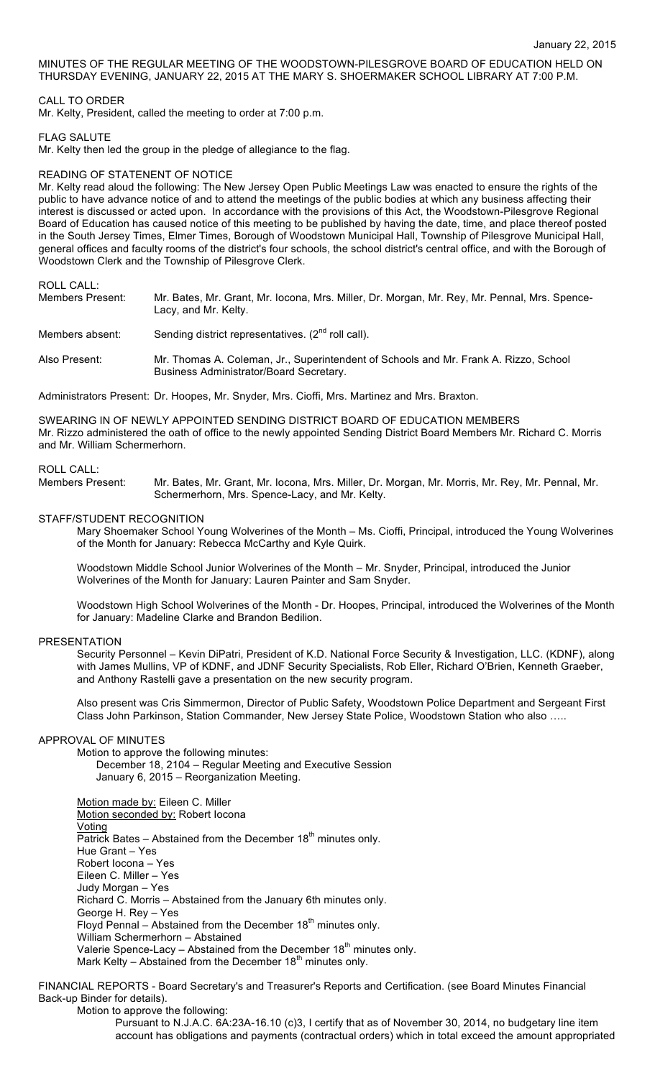MINUTES OF THE REGULAR MEETING OF THE WOODSTOWN-PILESGROVE BOARD OF EDUCATION HELD ON THURSDAY EVENING, JANUARY 22, 2015 AT THE MARY S. SHOERMAKER SCHOOL LIBRARY AT 7:00 P.M.

## CALL TO ORDER

Mr. Kelty, President, called the meeting to order at 7:00 p.m.

### FLAG SALUTE

Mr. Kelty then led the group in the pledge of allegiance to the flag.

## READING OF STATENENT OF NOTICE

Mr. Kelty read aloud the following: The New Jersey Open Public Meetings Law was enacted to ensure the rights of the public to have advance notice of and to attend the meetings of the public bodies at which any business affecting their interest is discussed or acted upon. In accordance with the provisions of this Act, the Woodstown-Pilesgrove Regional Board of Education has caused notice of this meeting to be published by having the date, time, and place thereof posted in the South Jersey Times, Elmer Times, Borough of Woodstown Municipal Hall, Township of Pilesgrove Municipal Hall, general offices and faculty rooms of the district's four schools, the school district's central office, and with the Borough of Woodstown Clerk and the Township of Pilesgrove Clerk.

## ROLL CALL:

| Members Present: | Mr. Bates, Mr. Grant, Mr. Iocona, Mrs. Miller, Dr. Morgan, Mr. Rey, Mr. Pennal, Mrs. Spence-<br>Lacy, and Mr. Kelty.            |
|------------------|---------------------------------------------------------------------------------------------------------------------------------|
| Members absent:  | Sending district representatives. $(2^{nd}$ roll call).                                                                         |
| Also Present:    | Mr. Thomas A. Coleman, Jr., Superintendent of Schools and Mr. Frank A. Rizzo, School<br>Business Administrator/Board Secretary. |

Administrators Present: Dr. Hoopes, Mr. Snyder, Mrs. Cioffi, Mrs. Martinez and Mrs. Braxton.

SWEARING IN OF NEWLY APPOINTED SENDING DISTRICT BOARD OF EDUCATION MEMBERS Mr. Rizzo administered the oath of office to the newly appointed Sending District Board Members Mr. Richard C. Morris and Mr. William Schermerhorn.

## ROLL CALL:

Members Present: Mr. Bates, Mr. Grant, Mr. Iocona, Mrs. Miller, Dr. Morgan, Mr. Morris, Mr. Rey, Mr. Pennal, Mr. Schermerhorn, Mrs. Spence-Lacy, and Mr. Kelty.

#### STAFF/STUDENT RECOGNITION

Mary Shoemaker School Young Wolverines of the Month – Ms. Cioffi, Principal, introduced the Young Wolverines of the Month for January: Rebecca McCarthy and Kyle Quirk.

Woodstown Middle School Junior Wolverines of the Month – Mr. Snyder, Principal, introduced the Junior Wolverines of the Month for January: Lauren Painter and Sam Snyder.

Woodstown High School Wolverines of the Month - Dr. Hoopes, Principal, introduced the Wolverines of the Month for January: Madeline Clarke and Brandon Bedilion.

#### PRESENTATION

Security Personnel – Kevin DiPatri, President of K.D. National Force Security & Investigation, LLC. (KDNF), along with James Mullins, VP of KDNF, and JDNF Security Specialists, Rob Eller, Richard O'Brien, Kenneth Graeber, and Anthony Rastelli gave a presentation on the new security program.

Also present was Cris Simmermon, Director of Public Safety, Woodstown Police Department and Sergeant First Class John Parkinson, Station Commander, New Jersey State Police, Woodstown Station who also …..

#### APPROVAL OF MINUTES

Motion to approve the following minutes:

December 18, 2104 – Regular Meeting and Executive Session January 6, 2015 – Reorganization Meeting.

Motion made by: Eileen C. Miller Motion seconded by: Robert Iocona Voting Patrick Bates – Abstained from the December  $18<sup>th</sup>$  minutes only. Hue Grant – Yes Robert Iocona – Yes Eileen C. Miller – Yes Judy Morgan – Yes Richard C. Morris – Abstained from the January 6th minutes only. George H. Rey – Yes Floyd Pennal – Abstained from the December  $18<sup>th</sup>$  minutes only. William Schermerhorn – Abstained Valerie Spence-Lacy – Abstained from the December  $18<sup>th</sup>$  minutes only. Mark Kelty – Abstained from the December  $18<sup>th</sup>$  minutes only.

FINANCIAL REPORTS - Board Secretary's and Treasurer's Reports and Certification. (see Board Minutes Financial Back-up Binder for details).

Motion to approve the following:

Pursuant to N.J.A.C. 6A:23A-16.10 (c)3, I certify that as of November 30, 2014, no budgetary line item account has obligations and payments (contractual orders) which in total exceed the amount appropriated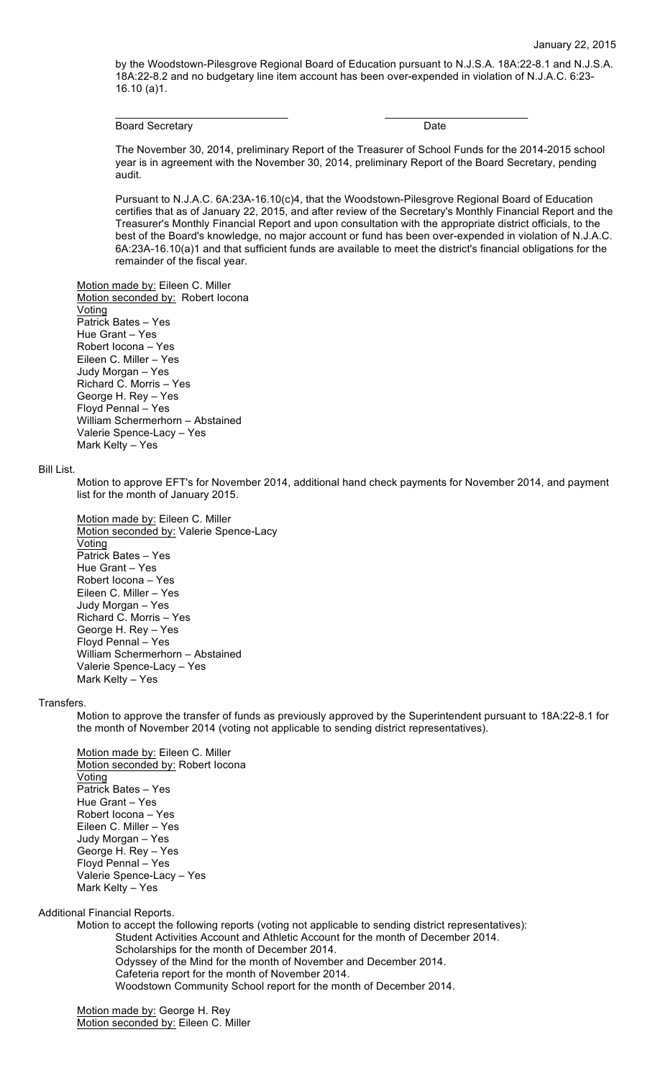by the Woodstown-Pilesgrove Regional Board of Education pursuant to N.J.S.A. 18A:22-8.1 and N.J.S.A. 18A:22-8.2 and no budgetary line item account has been over-expended in violation of N.J.A.C. 6:23- 16.10 (a)1.

\_\_\_\_\_\_\_\_\_\_\_\_\_\_\_\_\_\_\_\_\_\_\_\_\_\_\_\_\_ \_\_\_\_\_\_\_\_\_\_\_\_\_\_\_\_\_\_\_\_\_\_\_\_

Board Secretary **Date** 

The November 30, 2014, preliminary Report of the Treasurer of School Funds for the 2014-2015 school year is in agreement with the November 30, 2014, preliminary Report of the Board Secretary, pending audit.

Pursuant to N.J.A.C. 6A:23A-16.10(c)4, that the Woodstown-Pilesgrove Regional Board of Education certifies that as of January 22, 2015, and after review of the Secretary's Monthly Financial Report and the Treasurer's Monthly Financial Report and upon consultation with the appropriate district officials, to the best of the Board's knowledge, no major account or fund has been over-expended in violation of N.J.A.C. 6A:23A-16.10(a)1 and that sufficient funds are available to meet the district's financial obligations for the remainder of the fiscal year.

Motion made by: Eileen C. Miller Motion seconded by: Robert locona Voting Patrick Bates – Yes Hue Grant – Yes Robert Iocona – Yes Eileen C. Miller – Yes Judy Morgan – Yes Richard C. Morris – Yes George H. Rey – Yes Floyd Pennal – Yes William Schermerhorn – Abstained Valerie Spence-Lacy – Yes Mark Kelty – Yes

#### Bill List.

Motion to approve EFT's for November 2014, additional hand check payments for November 2014, and payment list for the month of January 2015.

Motion made by: Eileen C. Miller Motion seconded by: Valerie Spence-Lacy Voting Patrick Bates – Yes Hue Grant – Yes Robert Iocona – Yes Eileen C. Miller – Yes Judy Morgan – Yes Richard C. Morris – Yes George H. Rey – Yes Floyd Pennal – Yes William Schermerhorn – Abstained Valerie Spence-Lacy – Yes Mark Kelty – Yes

#### Transfers.

Motion to approve the transfer of funds as previously approved by the Superintendent pursuant to 18A:22-8.1 for the month of November 2014 (voting not applicable to sending district representatives).

Motion made by: Eileen C. Miller Motion seconded by: Robert Iocona **Voting** Patrick Bates – Yes Hue Grant – Yes Robert Iocona – Yes Eileen C. Miller – Yes Judy Morgan – Yes George H. Rey – Yes Floyd Pennal – Yes Valerie Spence-Lacy – Yes Mark Kelty – Yes

Additional Financial Reports.

Motion to accept the following reports (voting not applicable to sending district representatives): Student Activities Account and Athletic Account for the month of December 2014. Scholarships for the month of December 2014. Odyssey of the Mind for the month of November and December 2014. Cafeteria report for the month of November 2014. Woodstown Community School report for the month of December 2014.

Motion made by: George H. Rey Motion seconded by: Eileen C. Miller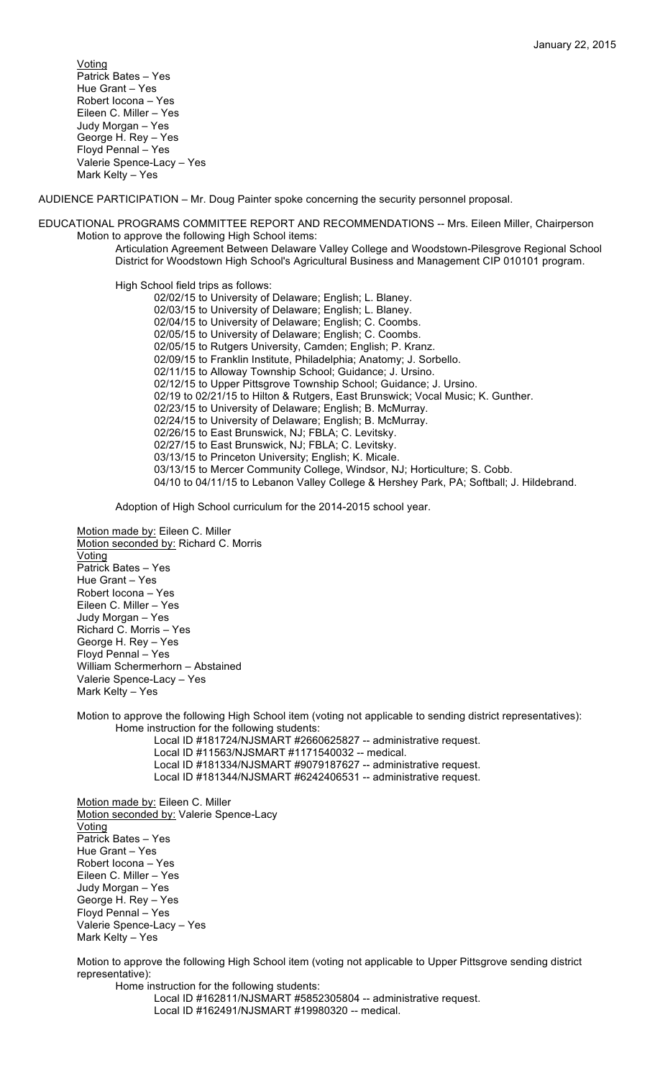Voting Patrick Bates – Yes Hue Grant – Yes Robert Iocona – Yes Eileen C. Miller – Yes Judy Morgan – Yes George H. Rey – Yes Floyd Pennal – Yes Valerie Spence-Lacy – Yes Mark Kelty – Yes

AUDIENCE PARTICIPATION – Mr. Doug Painter spoke concerning the security personnel proposal.

EDUCATIONAL PROGRAMS COMMITTEE REPORT AND RECOMMENDATIONS -- Mrs. Eileen Miller, Chairperson Motion to approve the following High School items:

Articulation Agreement Between Delaware Valley College and Woodstown-Pilesgrove Regional School District for Woodstown High School's Agricultural Business and Management CIP 010101 program.

High School field trips as follows:

02/02/15 to University of Delaware; English; L. Blaney. 02/03/15 to University of Delaware; English; L. Blaney. 02/04/15 to University of Delaware; English; C. Coombs. 02/05/15 to University of Delaware; English; C. Coombs. 02/05/15 to Rutgers University, Camden; English; P. Kranz. 02/09/15 to Franklin Institute, Philadelphia; Anatomy; J. Sorbello. 02/11/15 to Alloway Township School; Guidance; J. Ursino. 02/12/15 to Upper Pittsgrove Township School; Guidance; J. Ursino. 02/19 to 02/21/15 to Hilton & Rutgers, East Brunswick; Vocal Music; K. Gunther. 02/23/15 to University of Delaware; English; B. McMurray. 02/24/15 to University of Delaware; English; B. McMurray. 02/26/15 to East Brunswick, NJ; FBLA; C. Levitsky. 02/27/15 to East Brunswick, NJ; FBLA; C. Levitsky. 03/13/15 to Princeton University; English; K. Micale. 03/13/15 to Mercer Community College, Windsor, NJ; Horticulture; S. Cobb. 04/10 to 04/11/15 to Lebanon Valley College & Hershey Park, PA; Softball; J. Hildebrand.

Adoption of High School curriculum for the 2014-2015 school year.

Motion made by: Eileen C. Miller Motion seconded by: Richard C. Morris **Voting** Patrick Bates – Yes Hue Grant – Yes Robert Iocona – Yes Eileen C. Miller – Yes Judy Morgan – Yes Richard C. Morris – Yes George H. Rey – Yes Floyd Pennal – Yes William Schermerhorn – Abstained Valerie Spence-Lacy – Yes Mark Kelty – Yes

Motion to approve the following High School item (voting not applicable to sending district representatives): Home instruction for the following students:

Local ID #181724/NJSMART #2660625827 -- administrative request. Local ID #11563/NJSMART #1171540032 -- medical.

Local ID #181334/NJSMART #9079187627 -- administrative request.

Local ID #181344/NJSMART #6242406531 -- administrative request.

Motion made by: Eileen C. Miller Motion seconded by: Valerie Spence-Lacy Voting Patrick Bates – Yes Hue Grant – Yes Robert Iocona – Yes Eileen C. Miller – Yes Judy Morgan – Yes George H. Rey – Yes Floyd Pennal – Yes Valerie Spence-Lacy – Yes Mark Kelty – Yes

Motion to approve the following High School item (voting not applicable to Upper Pittsgrove sending district representative):

Home instruction for the following students: Local ID #162811/NJSMART #5852305804 -- administrative request.

Local ID #162491/NJSMART #19980320 -- medical.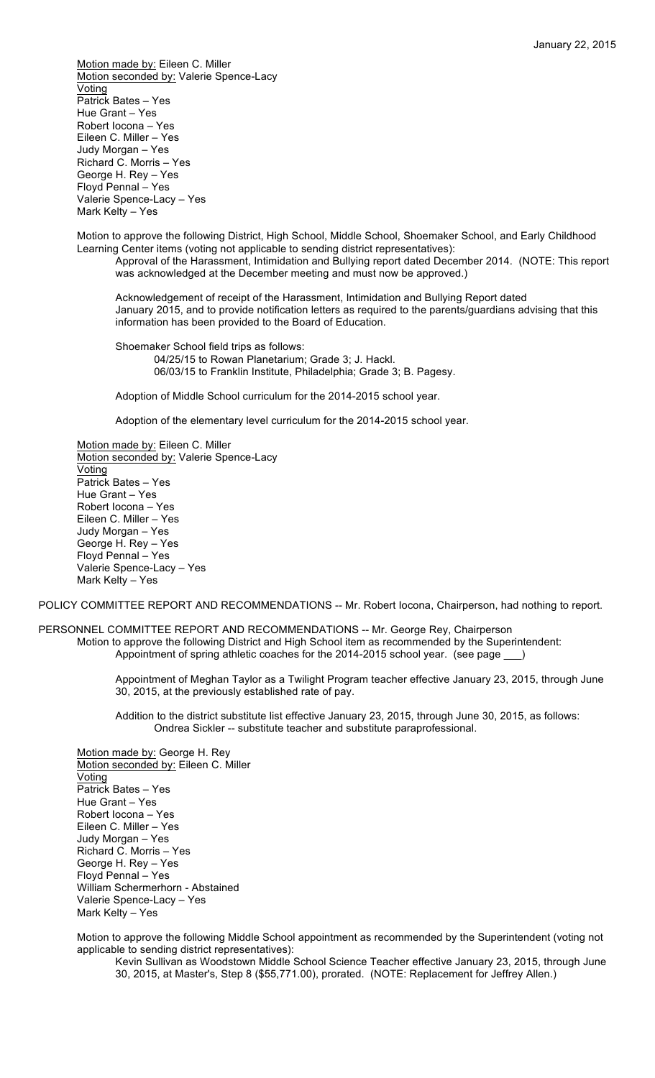Motion made by: Eileen C. Miller Motion seconded by: Valerie Spence-Lacy Voting Patrick Bates – Yes Hue Grant – Yes Robert Iocona – Yes Eileen C. Miller – Yes Judy Morgan – Yes Richard C. Morris – Yes George H. Rey – Yes Floyd Pennal – Yes Valerie Spence-Lacy – Yes Mark Kelty – Yes

Motion to approve the following District, High School, Middle School, Shoemaker School, and Early Childhood Learning Center items (voting not applicable to sending district representatives):

Approval of the Harassment, Intimidation and Bullying report dated December 2014. (NOTE: This report was acknowledged at the December meeting and must now be approved.)

Acknowledgement of receipt of the Harassment, Intimidation and Bullying Report dated January 2015, and to provide notification letters as required to the parents/guardians advising that this information has been provided to the Board of Education.

Shoemaker School field trips as follows: 04/25/15 to Rowan Planetarium; Grade 3; J. Hackl. 06/03/15 to Franklin Institute, Philadelphia; Grade 3; B. Pagesy.

Adoption of Middle School curriculum for the 2014-2015 school year.

Adoption of the elementary level curriculum for the 2014-2015 school year.

Motion made by: Eileen C. Miller Motion seconded by: Valerie Spence-Lacy Voting Patrick Bates – Yes Hue Grant – Yes Robert Iocona – Yes Eileen C. Miller – Yes Judy Morgan – Yes George H. Rey – Yes Floyd Pennal – Yes Valerie Spence-Lacy – Yes Mark Kelty – Yes

POLICY COMMITTEE REPORT AND RECOMMENDATIONS -- Mr. Robert locona, Chairperson, had nothing to report.

PERSONNEL COMMITTEE REPORT AND RECOMMENDATIONS -- Mr. George Rey, Chairperson Motion to approve the following District and High School item as recommended by the Superintendent: Appointment of spring athletic coaches for the 2014-2015 school year. (see page \_\_\_)

> Appointment of Meghan Taylor as a Twilight Program teacher effective January 23, 2015, through June 30, 2015, at the previously established rate of pay.

Addition to the district substitute list effective January 23, 2015, through June 30, 2015, as follows: Ondrea Sickler -- substitute teacher and substitute paraprofessional.

Motion made by: George H. Rey Motion seconded by: Eileen C. Miller Voting Patrick Bates – Yes Hue Grant – Yes Robert Iocona – Yes Eileen C. Miller – Yes Judy Morgan – Yes Richard C. Morris – Yes George H. Rey – Yes Floyd Pennal – Yes William Schermerhorn - Abstained Valerie Spence-Lacy – Yes Mark Kelty – Yes

Motion to approve the following Middle School appointment as recommended by the Superintendent (voting not applicable to sending district representatives):

Kevin Sullivan as Woodstown Middle School Science Teacher effective January 23, 2015, through June 30, 2015, at Master's, Step 8 (\$55,771.00), prorated. (NOTE: Replacement for Jeffrey Allen.)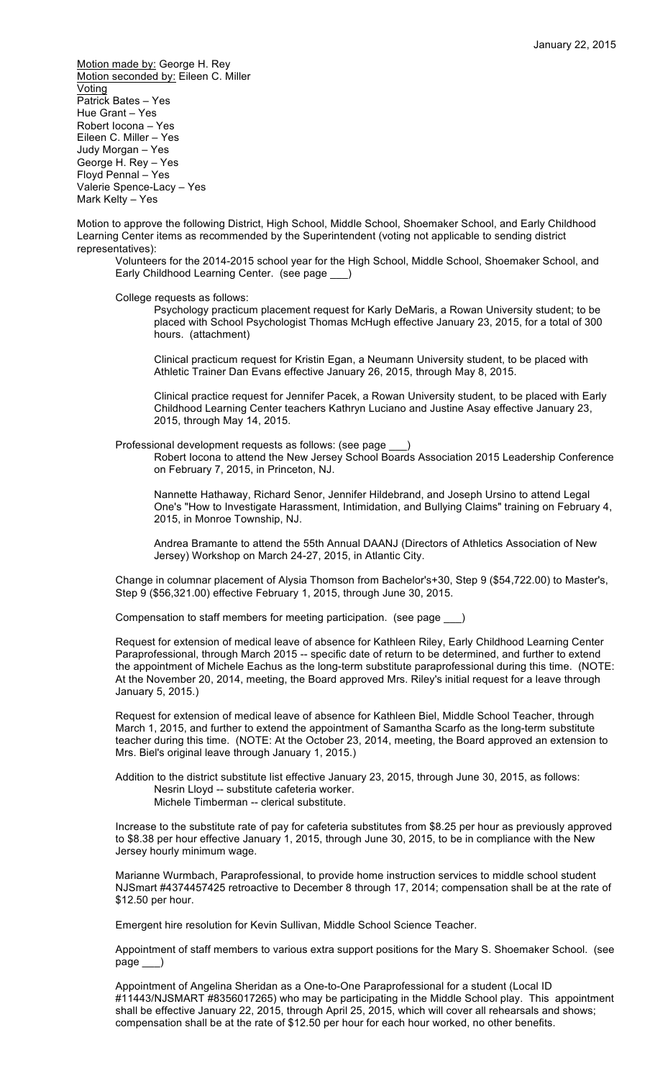Motion made by: George H. Rey Motion seconded by: Eileen C. Miller Voting Patrick Bates – Yes Hue Grant – Yes Robert Iocona – Yes Eileen C. Miller – Yes Judy Morgan – Yes George H. Rey – Yes Floyd Pennal – Yes Valerie Spence-Lacy – Yes Mark Kelty – Yes

Motion to approve the following District, High School, Middle School, Shoemaker School, and Early Childhood Learning Center items as recommended by the Superintendent (voting not applicable to sending district representatives):

Volunteers for the 2014-2015 school year for the High School, Middle School, Shoemaker School, and Early Childhood Learning Center. (see page

College requests as follows:

Psychology practicum placement request for Karly DeMaris, a Rowan University student; to be placed with School Psychologist Thomas McHugh effective January 23, 2015, for a total of 300 hours. (attachment)

Clinical practicum request for Kristin Egan, a Neumann University student, to be placed with Athletic Trainer Dan Evans effective January 26, 2015, through May 8, 2015.

Clinical practice request for Jennifer Pacek, a Rowan University student, to be placed with Early Childhood Learning Center teachers Kathryn Luciano and Justine Asay effective January 23, 2015, through May 14, 2015.

Professional development requests as follows: (see page

Robert Iocona to attend the New Jersey School Boards Association 2015 Leadership Conference on February 7, 2015, in Princeton, NJ.

Nannette Hathaway, Richard Senor, Jennifer Hildebrand, and Joseph Ursino to attend Legal One's "How to Investigate Harassment, Intimidation, and Bullying Claims" training on February 4, 2015, in Monroe Township, NJ.

Andrea Bramante to attend the 55th Annual DAANJ (Directors of Athletics Association of New Jersey) Workshop on March 24-27, 2015, in Atlantic City.

Change in columnar placement of Alysia Thomson from Bachelor's+30, Step 9 (\$54,722.00) to Master's, Step 9 (\$56,321.00) effective February 1, 2015, through June 30, 2015.

Compensation to staff members for meeting participation. (see page \_\_\_)

Request for extension of medical leave of absence for Kathleen Riley, Early Childhood Learning Center Paraprofessional, through March 2015 -- specific date of return to be determined, and further to extend the appointment of Michele Eachus as the long-term substitute paraprofessional during this time. (NOTE: At the November 20, 2014, meeting, the Board approved Mrs. Riley's initial request for a leave through January 5, 2015.)

Request for extension of medical leave of absence for Kathleen Biel, Middle School Teacher, through March 1, 2015, and further to extend the appointment of Samantha Scarfo as the long-term substitute teacher during this time. (NOTE: At the October 23, 2014, meeting, the Board approved an extension to Mrs. Biel's original leave through January 1, 2015.)

Addition to the district substitute list effective January 23, 2015, through June 30, 2015, as follows: Nesrin Lloyd -- substitute cafeteria worker.

Michele Timberman -- clerical substitute.

Increase to the substitute rate of pay for cafeteria substitutes from \$8.25 per hour as previously approved to \$8.38 per hour effective January 1, 2015, through June 30, 2015, to be in compliance with the New Jersey hourly minimum wage.

Marianne Wurmbach, Paraprofessional, to provide home instruction services to middle school student NJSmart #4374457425 retroactive to December 8 through 17, 2014; compensation shall be at the rate of \$12.50 per hour.

Emergent hire resolution for Kevin Sullivan, Middle School Science Teacher.

Appointment of staff members to various extra support positions for the Mary S. Shoemaker School. (see page

Appointment of Angelina Sheridan as a One-to-One Paraprofessional for a student (Local ID #11443/NJSMART #8356017265) who may be participating in the Middle School play. This appointment shall be effective January 22, 2015, through April 25, 2015, which will cover all rehearsals and shows; compensation shall be at the rate of \$12.50 per hour for each hour worked, no other benefits.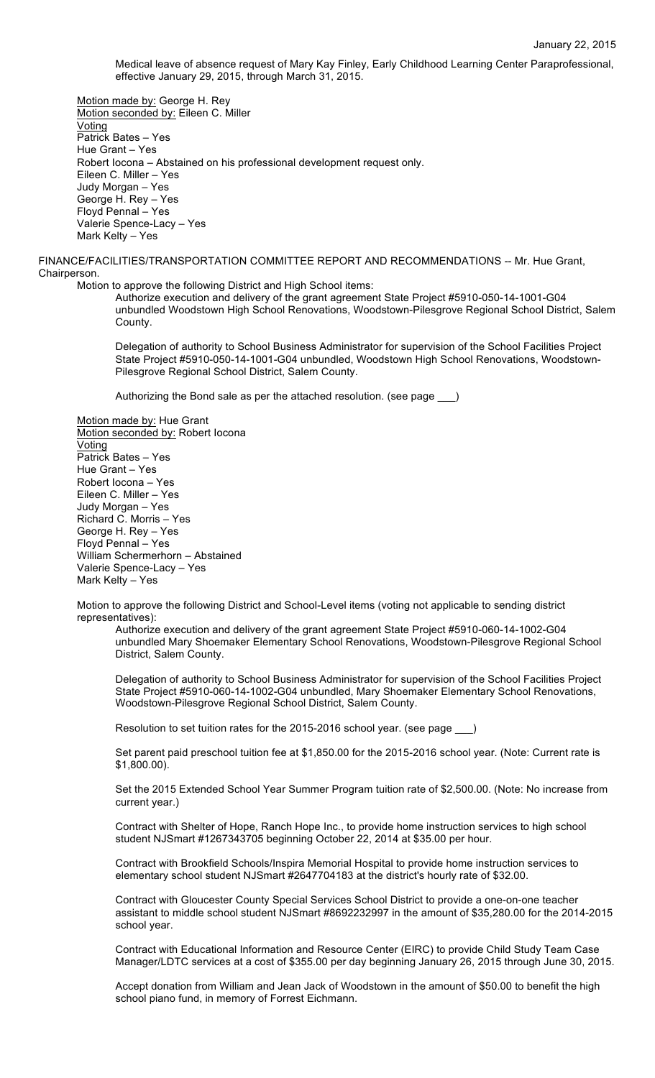Medical leave of absence request of Mary Kay Finley, Early Childhood Learning Center Paraprofessional, effective January 29, 2015, through March 31, 2015.

Motion made by: George H. Rey Motion seconded by: Eileen C. Miller Voting Patrick Bates – Yes Hue Grant – Yes Robert Iocona – Abstained on his professional development request only. Eileen C. Miller – Yes Judy Morgan – Yes George H. Rey – Yes Floyd Pennal – Yes Valerie Spence-Lacy – Yes Mark Kelty – Yes

FINANCE/FACILITIES/TRANSPORTATION COMMITTEE REPORT AND RECOMMENDATIONS -- Mr. Hue Grant, Chairperson.

Motion to approve the following District and High School items:

Authorize execution and delivery of the grant agreement State Project #5910-050-14-1001-G04 unbundled Woodstown High School Renovations, Woodstown-Pilesgrove Regional School District, Salem County.

Delegation of authority to School Business Administrator for supervision of the School Facilities Project State Project #5910-050-14-1001-G04 unbundled, Woodstown High School Renovations, Woodstown-Pilesgrove Regional School District, Salem County.

Authorizing the Bond sale as per the attached resolution. (see page \_\_\_)

Motion made by: Hue Grant Motion seconded by: Robert Iocona **Voting** Patrick Bates – Yes Hue Grant – Yes Robert Iocona – Yes Eileen C. Miller – Yes Judy Morgan – Yes Richard C. Morris – Yes George H. Rey – Yes Floyd Pennal – Yes William Schermerhorn – Abstained Valerie Spence-Lacy – Yes Mark Kelty – Yes

Motion to approve the following District and School-Level items (voting not applicable to sending district representatives):

Authorize execution and delivery of the grant agreement State Project #5910-060-14-1002-G04 unbundled Mary Shoemaker Elementary School Renovations, Woodstown-Pilesgrove Regional School District, Salem County.

Delegation of authority to School Business Administrator for supervision of the School Facilities Project State Project #5910-060-14-1002-G04 unbundled, Mary Shoemaker Elementary School Renovations, Woodstown-Pilesgrove Regional School District, Salem County.

Resolution to set tuition rates for the 2015-2016 school year. (see page \_\_\_)

Set parent paid preschool tuition fee at \$1,850.00 for the 2015-2016 school year. (Note: Current rate is \$1,800.00).

Set the 2015 Extended School Year Summer Program tuition rate of \$2,500.00. (Note: No increase from current year.)

Contract with Shelter of Hope, Ranch Hope Inc., to provide home instruction services to high school student NJSmart #1267343705 beginning October 22, 2014 at \$35.00 per hour.

Contract with Brookfield Schools/Inspira Memorial Hospital to provide home instruction services to elementary school student NJSmart #2647704183 at the district's hourly rate of \$32.00.

Contract with Gloucester County Special Services School District to provide a one-on-one teacher assistant to middle school student NJSmart #8692232997 in the amount of \$35,280.00 for the 2014-2015 school year.

Contract with Educational Information and Resource Center (EIRC) to provide Child Study Team Case Manager/LDTC services at a cost of \$355.00 per day beginning January 26, 2015 through June 30, 2015.

Accept donation from William and Jean Jack of Woodstown in the amount of \$50.00 to benefit the high school piano fund, in memory of Forrest Eichmann.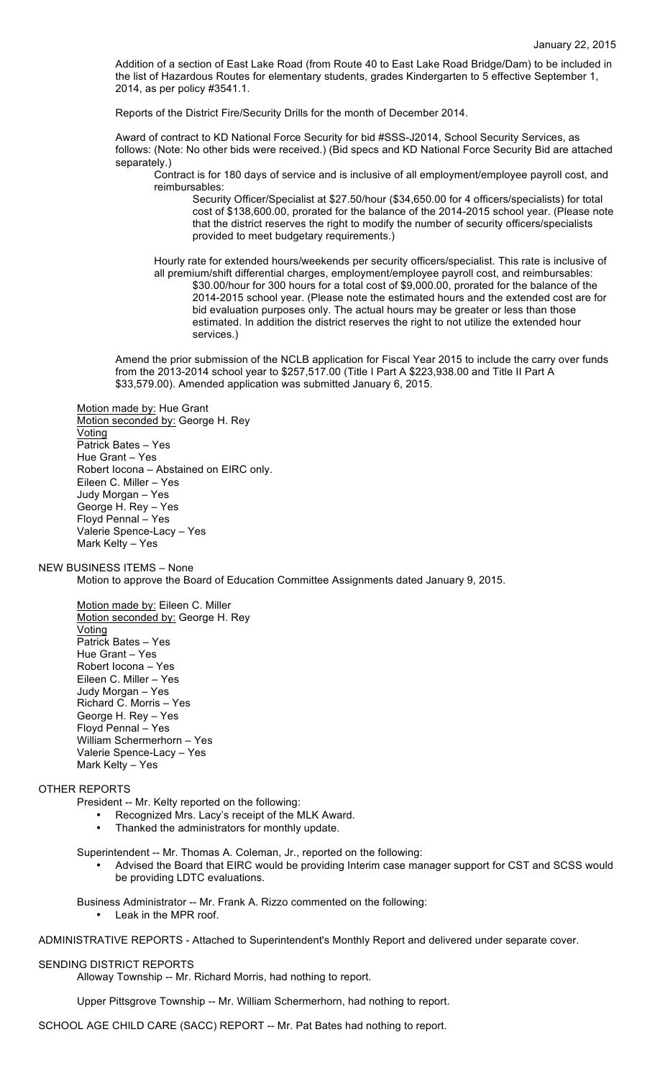Addition of a section of East Lake Road (from Route 40 to East Lake Road Bridge/Dam) to be included in the list of Hazardous Routes for elementary students, grades Kindergarten to 5 effective September 1, 2014, as per policy #3541.1.

Reports of the District Fire/Security Drills for the month of December 2014.

Award of contract to KD National Force Security for bid #SSS-J2014, School Security Services, as follows: (Note: No other bids were received.) (Bid specs and KD National Force Security Bid are attached separately.)

Contract is for 180 days of service and is inclusive of all employment/employee payroll cost, and reimbursables:

Security Officer/Specialist at \$27.50/hour (\$34,650.00 for 4 officers/specialists) for total cost of \$138,600.00, prorated for the balance of the 2014-2015 school year. (Please note that the district reserves the right to modify the number of security officers/specialists provided to meet budgetary requirements.)

Hourly rate for extended hours/weekends per security officers/specialist. This rate is inclusive of all premium/shift differential charges, employment/employee payroll cost, and reimbursables: \$30.00/hour for 300 hours for a total cost of \$9,000.00, prorated for the balance of the 2014-2015 school year. (Please note the estimated hours and the extended cost are for bid evaluation purposes only. The actual hours may be greater or less than those estimated. In addition the district reserves the right to not utilize the extended hour services.)

Amend the prior submission of the NCLB application for Fiscal Year 2015 to include the carry over funds from the 2013-2014 school year to \$257,517.00 (Title I Part A \$223,938.00 and Title II Part A \$33,579.00). Amended application was submitted January 6, 2015.

Motion made by: Hue Grant Motion seconded by: George H. Rey **Voting** Patrick Bates – Yes Hue Grant – Yes Robert Iocona – Abstained on EIRC only. Eileen C. Miller – Yes Judy Morgan – Yes George H. Rey – Yes Floyd Pennal – Yes Valerie Spence-Lacy – Yes Mark Kelty – Yes

NEW BUSINESS ITEMS – None Motion to approve the Board of Education Committee Assignments dated January 9, 2015.

Motion made by: Eileen C. Miller Motion seconded by: George H. Rey **Voting** Patrick Bates – Yes Hue Grant – Yes Robert Iocona – Yes Eileen C. Miller – Yes Judy Morgan – Yes Richard C. Morris – Yes George H. Rey – Yes Floyd Pennal – Yes William Schermerhorn – Yes Valerie Spence-Lacy – Yes Mark Kelty – Yes

# OTHER REPORTS

- President -- Mr. Kelty reported on the following:
	- Recognized Mrs. Lacy's receipt of the MLK Award.
	- Thanked the administrators for monthly update.

Superintendent -- Mr. Thomas A. Coleman, Jr., reported on the following:

- Advised the Board that EIRC would be providing Interim case manager support for CST and SCSS would be providing LDTC evaluations.
- Business Administrator -- Mr. Frank A. Rizzo commented on the following: • Leak in the MPR roof.

ADMINISTRATIVE REPORTS - Attached to Superintendent's Monthly Report and delivered under separate cover.

#### SENDING DISTRICT REPORTS

Alloway Township -- Mr. Richard Morris, had nothing to report.

Upper Pittsgrove Township -- Mr. William Schermerhorn, had nothing to report.

SCHOOL AGE CHILD CARE (SACC) REPORT -- Mr. Pat Bates had nothing to report.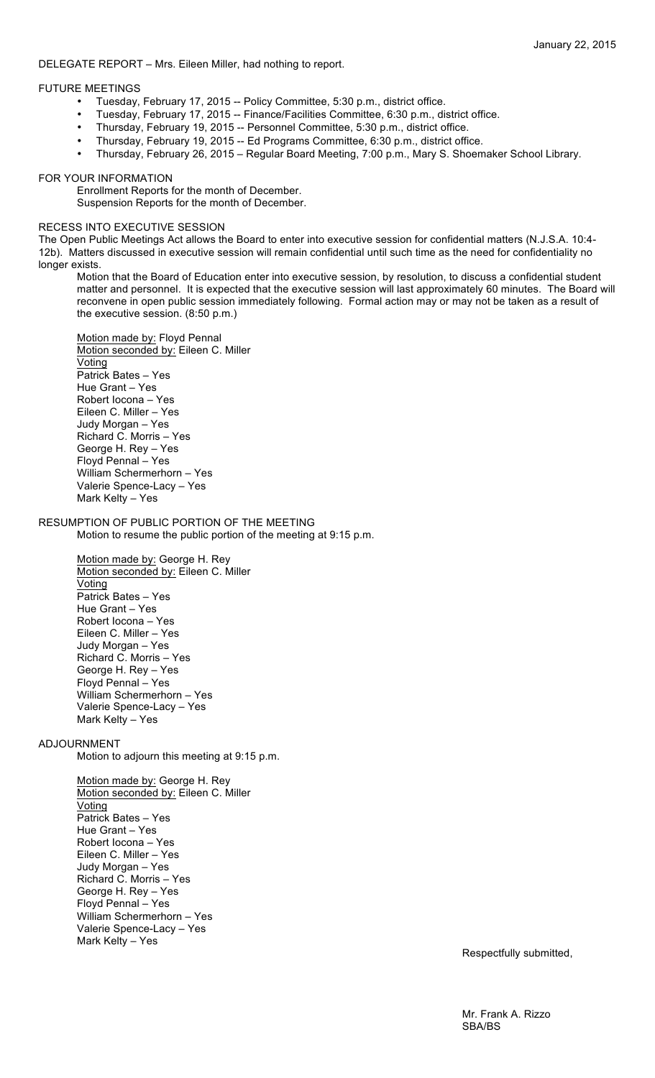## DELEGATE REPORT – Mrs. Eileen Miller, had nothing to report.

## FUTURE MEETINGS

- Tuesday, February 17, 2015 -- Policy Committee, 5:30 p.m., district office.
- Tuesday, February 17, 2015 -- Finance/Facilities Committee, 6:30 p.m., district office.
- Thursday, February 19, 2015 -- Personnel Committee, 5:30 p.m., district office.
- Thursday, February 19, 2015 -- Ed Programs Committee, 6:30 p.m., district office.
- Thursday, February 26, 2015 Regular Board Meeting, 7:00 p.m., Mary S. Shoemaker School Library.

## FOR YOUR INFORMATION

Enrollment Reports for the month of December. Suspension Reports for the month of December.

## RECESS INTO EXECUTIVE SESSION

The Open Public Meetings Act allows the Board to enter into executive session for confidential matters (N.J.S.A. 10:4- 12b). Matters discussed in executive session will remain confidential until such time as the need for confidentiality no longer exists.

Motion that the Board of Education enter into executive session, by resolution, to discuss a confidential student matter and personnel. It is expected that the executive session will last approximately 60 minutes. The Board will reconvene in open public session immediately following. Formal action may or may not be taken as a result of the executive session. (8:50 p.m.)

Motion made by: Floyd Pennal Motion seconded by: Eileen C. Miller Voting Patrick Bates – Yes Hue Grant – Yes Robert Iocona – Yes Eileen C. Miller – Yes Judy Morgan – Yes Richard C. Morris – Yes George H. Rey – Yes Floyd Pennal – Yes William Schermerhorn – Yes Valerie Spence-Lacy – Yes Mark Kelty – Yes

# RESUMPTION OF PUBLIC PORTION OF THE MEETING

Motion to resume the public portion of the meeting at 9:15 p.m.

Motion made by: George H. Rey Motion seconded by: Eileen C. Miller **Voting** Patrick Bates – Yes Hue Grant – Yes Robert Iocona – Yes Eileen C. Miller – Yes Judy Morgan – Yes Richard C. Morris – Yes George H. Rey – Yes Floyd Pennal – Yes William Schermerhorn – Yes Valerie Spence-Lacy – Yes Mark Kelty – Yes

# ADJOURNMENT

Motion to adjourn this meeting at 9:15 p.m.

Motion made by: George H. Rey Motion seconded by: Eileen C. Miller Voting Patrick Bates – Yes Hue Grant – Yes Robert Iocona – Yes Eileen C. Miller – Yes Judy Morgan – Yes Richard C. Morris – Yes George H. Rey – Yes Floyd Pennal – Yes William Schermerhorn – Yes Valerie Spence-Lacy – Yes Mark Kelty – Yes

Respectfully submitted,